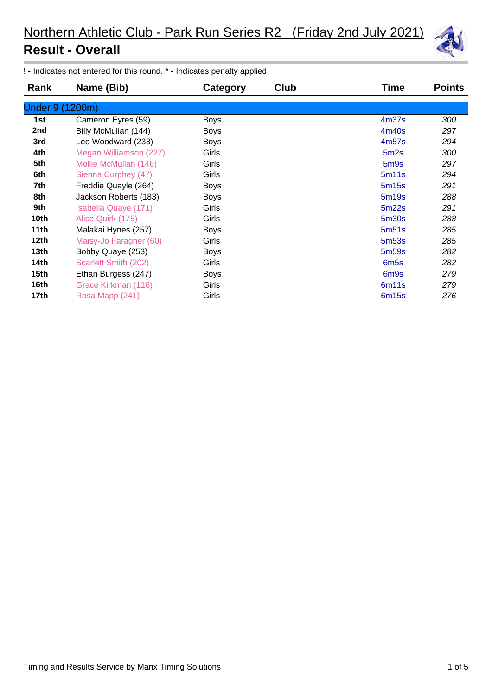

! - Indicates not entered for this round. \* - Indicates penalty applied.

| Rank             | Name (Bib)             | Category    | <b>Club</b> | Time              | <b>Points</b> |
|------------------|------------------------|-------------|-------------|-------------------|---------------|
| Under 9 (1200m)  |                        |             |             |                   |               |
| 1st              | Cameron Eyres (59)     | <b>Boys</b> |             | 4 <sub>m37s</sub> | 300           |
| 2nd              | Billy McMullan (144)   | <b>Boys</b> |             | 4m40s             | 297           |
| 3rd              | Leo Woodward (233)     | <b>Boys</b> |             | 4m57s             | 294           |
| 4th              | Megan Williamson (227) | Girls       |             | 5m2s              | 300           |
| 5th              | Mollie McMullan (146)  | Girls       |             | 5 <sub>m</sub> 9s | 297           |
| 6th              | Sienna Curphey (47)    | Girls       |             | 5m11s             | 294           |
| 7th              | Freddie Quayle (264)   | <b>Boys</b> |             | 5m15s             | 291           |
| 8th              | Jackson Roberts (183)  | <b>Boys</b> |             | 5m19s             | 288           |
| 9th              | Isabella Quaye (171)   | Girls       |             | 5m22s             | 291           |
| 10th             | Alice Quirk (175)      | Girls       |             | 5m30s             | 288           |
| 11th             | Malakai Hynes (257)    | <b>Boys</b> |             | 5m51s             | 285           |
| 12 <sub>th</sub> | Maisy-Jo Faragher (60) | Girls       |             | 5 <sub>m53s</sub> | 285           |
| 13th             | Bobby Quaye (253)      | <b>Boys</b> |             | 5m <sub>59s</sub> | 282           |
| <b>14th</b>      | Scarlett Smith (202)   | Girls       |             | 6 <sub>m</sub> 5s | 282           |
| 15th             | Ethan Burgess (247)    | <b>Boys</b> |             | 6 <sub>m</sub> 9s | 279           |
| 16th             | Grace Kirkman (116)    | Girls       |             | 6m <sub>11s</sub> | 279           |
| 17th             | Rosa Mapp (241)        | Girls       |             | 6m15s             | 276           |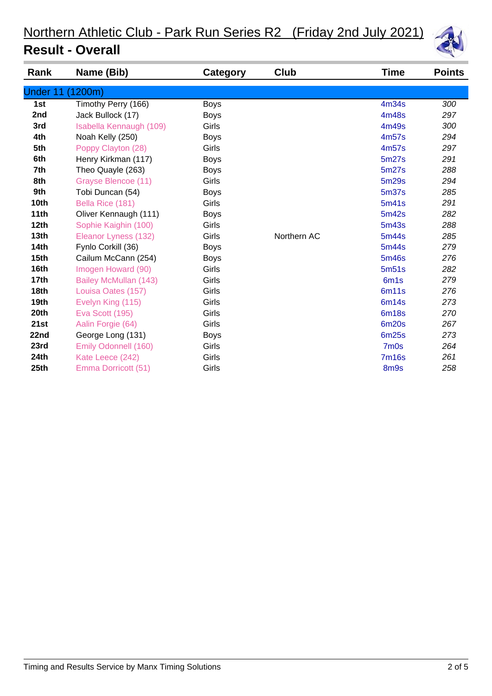| Rank             | Name (Bib)              | Category    | Club        | Time             | <b>Points</b> |
|------------------|-------------------------|-------------|-------------|------------------|---------------|
| <b>Under 11</b>  | (1200m)                 |             |             |                  |               |
| 1st              | Timothy Perry (166)     | <b>Boys</b> |             | 4m34s            | 300           |
| 2nd              | Jack Bullock (17)       | <b>Boys</b> |             | 4m48s            | 297           |
| 3rd              | Isabella Kennaugh (109) | Girls       |             | 4m49s            | 300           |
| 4th              | Noah Kelly (250)        | <b>Boys</b> |             | 4m57s            | 294           |
| 5th              | Poppy Clayton (28)      | Girls       |             | 4m57s            | 297           |
| 6th              | Henry Kirkman (117)     | <b>Boys</b> |             | 5m27s            | 291           |
| 7th              | Theo Quayle (263)       | <b>Boys</b> |             | 5m27s            | 288           |
| 8th              | Grayse Blencoe (11)     | Girls       |             | 5m29s            | 294           |
| 9th              | Tobi Duncan (54)        | <b>Boys</b> |             | 5m37s            | 285           |
| 10th             | Bella Rice (181)        | Girls       |             | 5m41s            | 291           |
| 11th             | Oliver Kennaugh (111)   | <b>Boys</b> |             | 5m42s            | 282           |
| 12th             | Sophie Kaighin (100)    | Girls       |             | 5m43s            | 288           |
| 13 <sub>th</sub> | Eleanor Lyness (132)    | Girls       | Northern AC | 5m44s            | 285           |
| 14th             | Fynlo Corkill (36)      | <b>Boys</b> |             | 5m44s            | 279           |
| 15th             | Cailum McCann (254)     | <b>Boys</b> |             | 5m46s            | 276           |
| 16th             | Imogen Howard (90)      | Girls       |             | 5m51s            | 282           |
| 17th             | Bailey McMullan (143)   | Girls       |             | 6m <sub>1s</sub> | 279           |
| 18th             | Louisa Oates (157)      | Girls       |             | 6m11s            | 276           |
| 19th             | Evelyn King (115)       | Girls       |             | 6m14s            | 273           |
| 20th             | Eva Scott (195)         | Girls       |             | <b>6m18s</b>     | 270           |
| 21st             | Aalin Forgie (64)       | Girls       |             | <b>6m20s</b>     | 267           |
| 22nd             | George Long (131)       | <b>Boys</b> |             | <b>6m25s</b>     | 273           |
| 23rd             | Emily Odonnell (160)    | Girls       |             | 7m0s             | 264           |
| 24th             | Kate Leece (242)        | Girls       |             | <b>7m16s</b>     | 261           |
| 25th             | Emma Dorricott (51)     | Girls       |             | 8m9s             | 258           |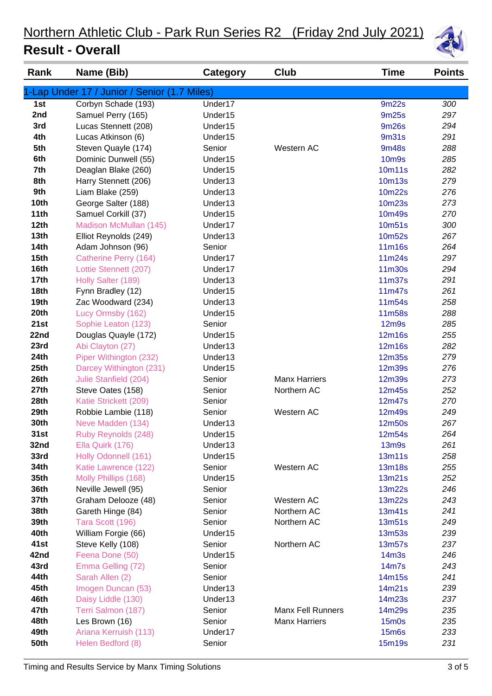

| Rank             | Name (Bib)                                   | <b>Category</b>     | Club                     | <b>Time</b>                    | <b>Points</b> |
|------------------|----------------------------------------------|---------------------|--------------------------|--------------------------------|---------------|
|                  | 1-Lap Under 17 / Junior / Senior (1.7 Miles) |                     |                          |                                |               |
| 1st              | Corbyn Schade (193)                          | Under17             |                          | 9m22s                          | 300           |
| 2nd              | Samuel Perry (165)                           | Under15             |                          | 9m25s                          | 297           |
| 3rd              | Lucas Stennett (208)                         | Under15             |                          | 9m26s                          | 294           |
| 4th              | Lucas Atkinson (6)                           | Under15             |                          | 9m31s                          | 291           |
| 5th              | Steven Quayle (174)                          | Senior              | Western AC               | <b>9m48s</b>                   | 288           |
| 6th              | Dominic Dunwell (55)                         | Under15             |                          | <b>10m9s</b>                   | 285           |
| 7th              | Deaglan Blake (260)                          | Under15             |                          | 10m11s                         | 282           |
| 8th              | Harry Stennett (206)                         | Under13             |                          | 10m13s                         | 279           |
| 9th              | Liam Blake (259)                             | Under13             |                          | 10m22s                         | 276           |
| 10th             | George Salter (188)                          | Under13             |                          | 10m23s                         | 273           |
| 11th             | Samuel Corkill (37)                          | Under15             |                          | 10m49s                         | 270           |
| 12th             | Madison McMullan (145)                       | Under17             |                          | 10m51s                         | 300           |
| 13th             | Elliot Reynolds (249)                        | Under13             |                          | 10m52s                         | 267           |
| <b>14th</b>      | Adam Johnson (96)                            | Senior              |                          | 11m16s                         | 264           |
| 15 <sub>th</sub> | Catherine Perry (164)                        | Under17             |                          | 11m24s                         | 297           |
| 16th             | Lottie Stennett (207)                        | Under17             |                          | 11m30s                         | 294           |
| 17th             | Holly Salter (189)                           | Under13             |                          | 11m37s                         | 291           |
| 18th             | Fynn Bradley (12)                            | Under15             |                          | 11m47s                         | 261           |
| 19th             | Zac Woodward (234)                           | Under13             |                          | 11m54s                         | 258           |
| 20th             | Lucy Ormsby (162)                            | Under15             |                          | 11m58s                         | 288           |
| 21st             | Sophie Leaton (123)                          | Senior              |                          | 12 <sub>m</sub> 9 <sub>s</sub> | 285           |
| 22nd             | Douglas Quayle (172)                         | Under15             |                          | 12m16s                         | 255           |
| 23rd             | Abi Clayton (27)                             | Under13             |                          | 12m16s                         | 282           |
| 24th             | Piper Withington (232)                       | Under13             |                          | <b>12m35s</b>                  | 279           |
| 25th             | Darcey Withington (231)                      | Under15             |                          | <b>12m39s</b>                  | 276           |
| 26th             | Julie Stanfield (204)                        | Senior              | <b>Manx Harriers</b>     | <b>12m39s</b>                  | 273           |
| 27th             | Steve Oates (158)                            | Senior              | Northern AC              | 12m45s                         | 252           |
| 28th             | Katie Strickett (209)                        | Senior              |                          | 12m47s                         | 270           |
| 29th             | Robbie Lambie (118)                          | Senior              | Western AC               | 12m49s                         | 249           |
| 30th             | Neve Madden (134)                            | Under13             |                          | 12m50s                         | 267           |
| 31st             | Ruby Reynolds (248)                          | Under <sub>15</sub> |                          | 12m54s                         | 264           |
| 32nd             | Ella Quirk (176)                             | Under13             |                          | <b>13m9s</b>                   | 261           |
| 33rd             | Holly Odonnell (161)                         | Under15             |                          | 13m11s                         | 258           |
| 34th             | Katie Lawrence (122)                         | Senior              | Western AC               | <b>13m18s</b>                  | 255           |
| 35th             | Molly Phillips (168)                         | Under15             |                          | 13m21s                         | 252           |
| 36th             | Neville Jewell (95)                          | Senior              |                          | 13m22s                         | 246           |
| 37th             | Graham Delooze (48)                          | Senior              | Western AC               | 13m22s                         | 243           |
| 38th             | Gareth Hinge (84)                            | Senior              | Northern AC              | 13m41s                         | 241           |
| 39th             | Tara Scott (196)                             | Senior              | Northern AC              | 13m51s                         | 249           |
| 40th             | William Forgie (66)                          | Under15             |                          | 13m53s                         | 239           |
| 41st             | Steve Kelly (108)                            | Senior              | Northern AC              | 13m57s                         | 237           |
| 42nd             | Feena Done (50)                              | Under15             |                          | 14 <sub>m3s</sub>              | 246           |
| 43rd             | Emma Gelling (72)                            | Senior              |                          | 14m7s                          | 243           |
| 44th             | Sarah Allen (2)                              | Senior              |                          | 14m15s                         | 241           |
| 45th<br>46th     | Imogen Duncan (53)                           | Under13<br>Under13  |                          | 14m21s<br>14m23s               | 239<br>237    |
| 47th             | Daisy Liddle (130)<br>Terri Salmon (187)     | Senior              | <b>Manx Fell Runners</b> | 14m29s                         | 235           |
| 48th             | Les Brown (16)                               | Senior              | <b>Manx Harriers</b>     | $15m$ Os                       | 235           |
| 49th             | Ariana Kerruish (113)                        | Under17             |                          | <b>15m6s</b>                   | 233           |
| <b>50th</b>      | Helen Bedford (8)                            | Senior              |                          | 15m19s                         | 231           |
|                  |                                              |                     |                          |                                |               |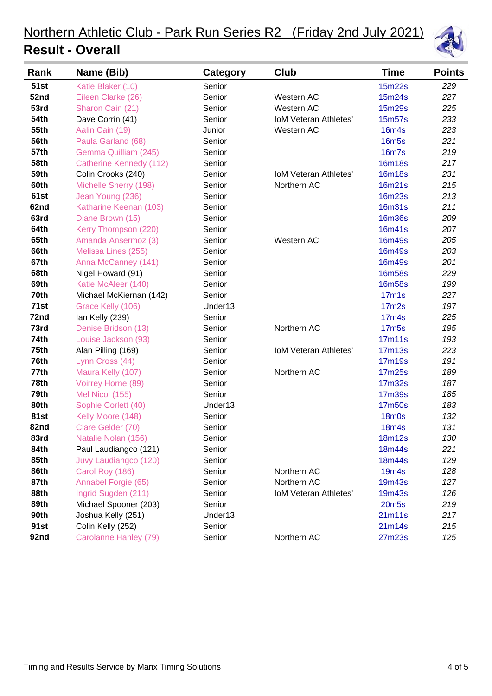

| Rank        | Name (Bib)                     | <b>Category</b> | Club                         | <b>Time</b>        | <b>Points</b> |
|-------------|--------------------------------|-----------------|------------------------------|--------------------|---------------|
| <b>51st</b> | Katie Blaker (10)              | Senior          |                              | 15m22s             | 229           |
| 52nd        | Eileen Clarke (26)             | Senior          | Western AC                   | 15m24s             | 227           |
| 53rd        | Sharon Cain (21)               | Senior          | Western AC                   | 15m29s             | 225           |
| <b>54th</b> | Dave Corrin (41)               | Senior          | <b>IoM Veteran Athletes'</b> | 15m57s             | 233           |
| 55th        | Aalin Cain (19)                | Junior          | Western AC                   | <b>16m4s</b>       | 223           |
| 56th        | Paula Garland (68)             | Senior          |                              | <b>16m5s</b>       | 221           |
| 57th        | Gemma Quilliam (245)           | Senior          |                              | <b>16m7s</b>       | 219           |
| 58th        | <b>Catherine Kennedy (112)</b> | Senior          |                              | <b>16m18s</b>      | 217           |
| 59th        | Colin Crooks (240)             | Senior          | <b>IoM Veteran Athletes'</b> | <b>16m18s</b>      | 231           |
| 60th        | Michelle Sherry (198)          | Senior          | Northern AC                  | 16m21s             | 215           |
| 61st        | Jean Young (236)               | Senior          |                              | 16m23s             | 213           |
| 62nd        | Katharine Keenan (103)         | Senior          |                              | <b>16m31s</b>      | 211           |
| 63rd        | Diane Brown (15)               | Senior          |                              | <b>16m36s</b>      | 209           |
| 64th        | Kerry Thompson (220)           | Senior          |                              | 16m41s             | 207           |
| 65th        | Amanda Ansermoz (3)            | Senior          | Western AC                   | 16m49s             | 205           |
| 66th        | Melissa Lines (255)            | Senior          |                              | <b>16m49s</b>      | 203           |
| 67th        | Anna McCanney (141)            | Senior          |                              | <b>16m49s</b>      | 201           |
| 68th        | Nigel Howard (91)              | Senior          |                              | <b>16m58s</b>      | 229           |
| 69th        | Katie McAleer (140)            | Senior          |                              | <b>16m58s</b>      | 199           |
| 70th        | Michael McKiernan (142)        | Senior          |                              | 17 <sub>m</sub> 1s | 227           |
| 71st        | Grace Kelly (106)              | Under13         |                              | 17 <sub>m2s</sub>  | 197           |
| 72nd        | lan Kelly (239)                | Senior          |                              | 17 <sub>m4s</sub>  | 225           |
| 73rd        | Denise Bridson (13)            | Senior          | Northern AC                  | <b>17m5s</b>       | 195           |
| <b>74th</b> | Louise Jackson (93)            | Senior          |                              | 17m11s             | 193           |
| 75th        | Alan Pilling (169)             | Senior          | <b>IoM Veteran Athletes'</b> | 17m13s             | 223           |
| 76th        | Lynn Cross (44)                | Senior          |                              | 17m19s             | 191           |
| 77th        | Maura Kelly (107)              | Senior          | Northern AC                  | 17m25s             | 189           |
| 78th        | Voirrey Horne (89)             | Senior          |                              | 17m32s             | 187           |
| 79th        | Mel Nicol (155)                | Senior          |                              | 17m39s             | 185           |
| 80th        | Sophie Corlett (40)            | Under13         |                              | 17m50s             | 183           |
| 81st        | Kelly Moore (148)              | Senior          |                              | <b>18m0s</b>       | 132           |
| 82nd        | Clare Gelder (70)              | Senior          |                              | <b>18m4s</b>       | 131           |
| 83rd        | Natalie Nolan (156)            | Senior          |                              | 18m12s             | 130           |
| 84th        | Paul Laudiangco (121)          | Senior          |                              | 18m44s             | 221           |
| 85th        | Juvy Laudiangco (120)          | Senior          |                              | 18m44s             | 129           |
| 86th        | Carol Roy (186)                | Senior          | Northern AC                  | <b>19m4s</b>       | 128           |
| 87th        | Annabel Forgie (65)            | Senior          | Northern AC                  | 19m43s             | 127           |
| 88th        | Ingrid Sugden (211)            | Senior          | <b>IoM Veteran Athletes'</b> | 19m43s             | 126           |
| 89th        | Michael Spooner (203)          | Senior          |                              | <b>20m5s</b>       | 219           |
| 90th        | Joshua Kelly (251)             | Under13         |                              | 21m11s             | 217           |
| 91st        | Colin Kelly (252)              | Senior          |                              | 21m14s             | 215           |
| 92nd        | Carolanne Hanley (79)          | Senior          | Northern AC                  | 27m23s             | 125           |